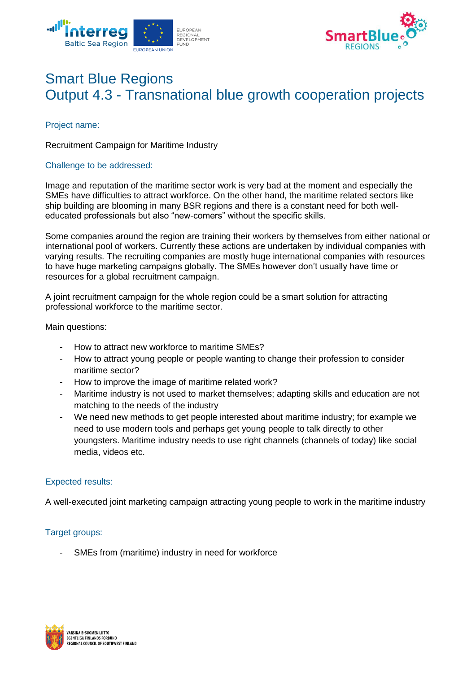



# Smart Blue Regions Output 4.3 - Transnational blue growth cooperation projects

Project name:

Recruitment Campaign for Maritime Industry

#### Challenge to be addressed:

Image and reputation of the maritime sector work is very bad at the moment and especially the SMEs have difficulties to attract workforce. On the other hand, the maritime related sectors like ship building are blooming in many BSR regions and there is a constant need for both welleducated professionals but also "new-comers" without the specific skills.

Some companies around the region are training their workers by themselves from either national or international pool of workers. Currently these actions are undertaken by individual companies with varying results. The recruiting companies are mostly huge international companies with resources to have huge marketing campaigns globally. The SMEs however don't usually have time or resources for a global recruitment campaign.

A joint recruitment campaign for the whole region could be a smart solution for attracting professional workforce to the maritime sector.

Main questions:

- How to attract new workforce to maritime SMEs?
- How to attract young people or people wanting to change their profession to consider maritime sector?
- How to improve the image of maritime related work?
- Maritime industry is not used to market themselves; adapting skills and education are not matching to the needs of the industry
- We need new methods to get people interested about maritime industry; for example we need to use modern tools and perhaps get young people to talk directly to other youngsters. Maritime industry needs to use right channels (channels of today) like social media, videos etc.

## Expected results:

A well-executed joint marketing campaign attracting young people to work in the maritime industry

## Target groups:

SMEs from (maritime) industry in need for workforce

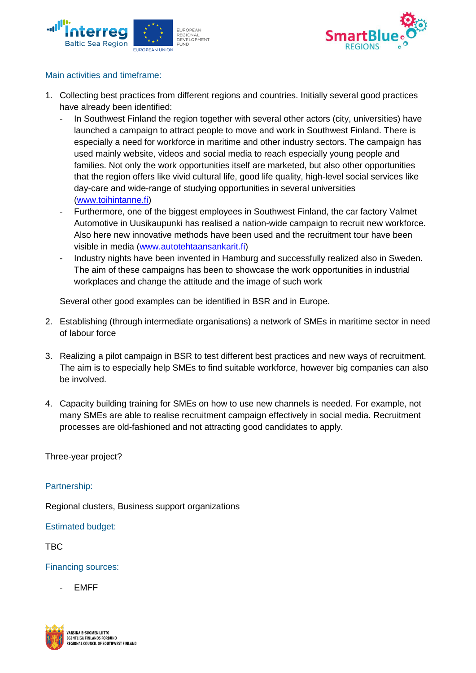



## Main activities and timeframe:

- 1. Collecting best practices from different regions and countries. Initially several good practices have already been identified:
	- In Southwest Finland the region together with several other actors (city, universities) have launched a campaign to attract people to move and work in Southwest Finland. There is especially a need for workforce in maritime and other industry sectors. The campaign has used mainly website, videos and social media to reach especially young people and families. Not only the work opportunities itself are marketed, but also other opportunities that the region offers like vivid cultural life, good life quality, high-level social services like day-care and wide-range of studying opportunities in several universities [\(www.toihintanne.fi\)](http://www.toihintanne.fi/)
	- Furthermore, one of the biggest employees in Southwest Finland, the car factory Valmet Automotive in Uusikaupunki has realised a nation-wide campaign to recruit new workforce. Also here new innovative methods have been used and the recruitment tour have been visible in media [\(www.autotehtaansankarit.fi\)](http://www.autotehtaansankarit.fi/)
	- Industry nights have been invented in Hamburg and successfully realized also in Sweden. The aim of these campaigns has been to showcase the work opportunities in industrial workplaces and change the attitude and the image of such work

Several other good examples can be identified in BSR and in Europe.

- 2. Establishing (through intermediate organisations) a network of SMEs in maritime sector in need of labour force
- 3. Realizing a pilot campaign in BSR to test different best practices and new ways of recruitment. The aim is to especially help SMEs to find suitable workforce, however big companies can also be involved.
- 4. Capacity building training for SMEs on how to use new channels is needed. For example, not many SMEs are able to realise recruitment campaign effectively in social media. Recruitment processes are old-fashioned and not attracting good candidates to apply.

Three-year project?

## Partnership:

Regional clusters, Business support organizations

Estimated budget:

TBC

Financing sources:

- EMFF